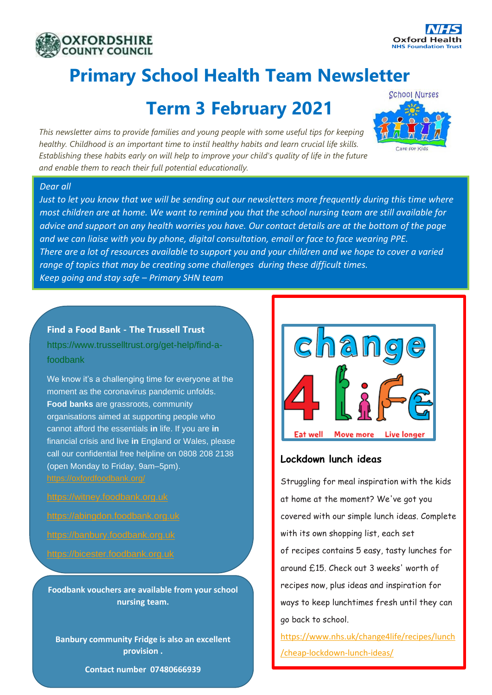



## **Primary School Health Team Newsletter**

## **Term 3 February 2021**

*This newsletter aims to provide families and young people with some useful tips for keeping healthy. Childhood is an important time to instil healthy habits and learn crucial life skills. Establishing these habits early on will help to improve your child's quality of life in the future and enable them to reach their full potential educationally.*



#### *Dear all*

*Just to let you know that we will be sending out our newsletters more frequently during this time where most children are at home. We want to remind you that the school nursing team are still available for advice and support on any health worries you have. Our contact details are at the bottom of the page and we can liaise with you by phone, digital consultation, email or face to face wearing PPE. There are a lot of resources available to support you and your children and we hope to cover a varied range of topics that may be creating some challenges during these difficult times. Keep going and stay safe – Primary SHN team* 

#### 1. **[Find a Food Bank -](https://www.trusselltrust.org/get-help/find-a-foodbank/) The Trussell Trust**

https://www.trusselltrust.org/get-help/find-afoodbank

We know it's a challenging time for everyone at the moment as the coronavirus pandemic unfolds. **Food banks** are grassroots, community organisations aimed at supporting people who cannot afford the essentials **in** life. If you are **in** financial crisis and live **in** England or Wales, please call our confidential free helpline on 0808 208 2138 (open Monday to Friday, 9am–5pm). <https://oxfordfoodbank.org/>

[https://witney.foodbank.org.uk](https://witney.foodbank.org.uk/) [https://abingdon.foodbank.org.uk](https://abingdon.foodbank.org.uk/) [https://banbury.foodbank.org.uk](https://banbury.foodbank.org.uk/) [https://bicester.foodbank.org.uk](https://bicester.foodbank.org.uk/)

**Foodbank vouchers are available from your school nursing team.**

**Banbury community Fridge is also an excellent provision .**

**Contact number 07480666939** 



#### **Lockdown lunch ideas**

Struggling for meal inspiration with the kids at home at the moment? We've got you covered with our simple lunch ideas. Complete with its own shopping list, each set of recipes contains 5 easy, tasty lunches for around £15. Check out 3 weeks' worth of recipes now, plus ideas and inspiration for ways to keep lunchtimes fresh until they can go back to school.

[https://www.nhs.uk/change4life/recipes/lunch](https://www.nhs.uk/change4life/recipes/lunch/cheap-lockdown-lunch-ideas/) [/cheap-lockdown-lunch-ideas/](https://www.nhs.uk/change4life/recipes/lunch/cheap-lockdown-lunch-ideas/)